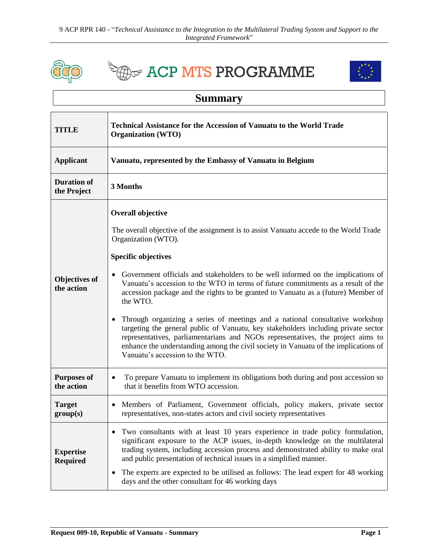

**EXACP MTS PROGRAMME** 



## **Summary**

| TITLE                               | <b>Technical Assistance for the Accession of Vanuatu to the World Trade</b><br><b>Organization</b> (WTO)                                                                                                                                                                                                                                                                                                                                                                                                                                                                                                                                                                                                                                                                                                                                         |
|-------------------------------------|--------------------------------------------------------------------------------------------------------------------------------------------------------------------------------------------------------------------------------------------------------------------------------------------------------------------------------------------------------------------------------------------------------------------------------------------------------------------------------------------------------------------------------------------------------------------------------------------------------------------------------------------------------------------------------------------------------------------------------------------------------------------------------------------------------------------------------------------------|
| <b>Applicant</b>                    | Vanuatu, represented by the Embassy of Vanuatu in Belgium                                                                                                                                                                                                                                                                                                                                                                                                                                                                                                                                                                                                                                                                                                                                                                                        |
| <b>Duration of</b><br>the Project   | 3 Months                                                                                                                                                                                                                                                                                                                                                                                                                                                                                                                                                                                                                                                                                                                                                                                                                                         |
| <b>Objectives of</b><br>the action  | <b>Overall objective</b><br>The overall objective of the assignment is to assist Vanuatu accede to the World Trade<br>Organization (WTO).<br><b>Specific objectives</b><br>Government officials and stakeholders to be well informed on the implications of<br>$\bullet$<br>Vanuatu's accession to the WTO in terms of future commitments as a result of the<br>accession package and the rights to be granted to Vanuatu as a (future) Member of<br>the WTO.<br>Through organizing a series of meetings and a national consultative workshop<br>targeting the general public of Vanuatu, key stakeholders including private sector<br>representatives, parliamentarians and NGOs representatives, the project aims to<br>enhance the understanding among the civil society in Vanuatu of the implications of<br>Vanuatu's accession to the WTO. |
| <b>Purposes of</b><br>the action    | To prepare Vanuatu to implement its obligations both during and post accession so<br>$\bullet$<br>that it benefits from WTO accession.                                                                                                                                                                                                                                                                                                                                                                                                                                                                                                                                                                                                                                                                                                           |
| <b>Target</b><br>group(s)           | Members of Parliament, Government officials, policy makers, private sector<br>representatives, non-states actors and civil society representatives                                                                                                                                                                                                                                                                                                                                                                                                                                                                                                                                                                                                                                                                                               |
| <b>Expertise</b><br><b>Required</b> | Two consultants with at least 10 years experience in trade policy formulation,<br>significant exposure to the ACP issues, in-depth knowledge on the multilateral<br>trading system, including accession process and demonstrated ability to make oral<br>and public presentation of technical issues in a simplified manner.<br>The experts are expected to be utilised as follows: The lead expert for 48 working<br>days and the other consultant for 46 working days                                                                                                                                                                                                                                                                                                                                                                          |